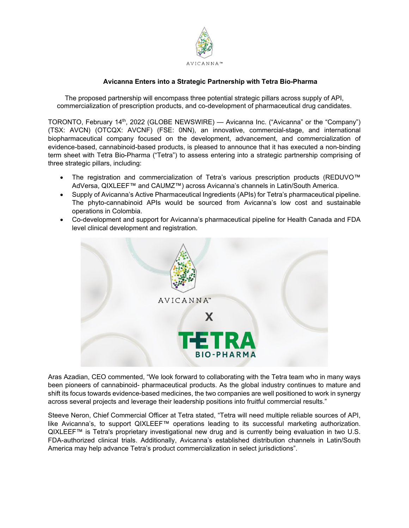

# **Avicanna Enters into a Strategic Partnership with Tetra Bio-Pharma**

The proposed partnership will encompass three potential strategic pillars across supply of API, commercialization of prescription products, and co-development of pharmaceutical drug candidates.

TORONTO, February 14th, 2022 (GLOBE NEWSWIRE) — Avicanna Inc. ("Avicanna" or the "Company") (TSX: AVCN) (OTCQX: AVCNF) (FSE: 0NN), an innovative, commercial-stage, and international biopharmaceutical company focused on the development, advancement, and commercialization of evidence-based, cannabinoid-based products, is pleased to announce that it has executed a non-binding term sheet with Tetra Bio-Pharma ("Tetra") to assess entering into a strategic partnership comprising of three strategic pillars, including:

- The registration and commercialization of Tetra's various prescription products (REDUVO™ AdVersa, QIXLEEF™ and CAUMZ™) across Avicanna's channels in Latin/South America.
- Supply of Avicanna's Active Pharmaceutical Ingredients (APIs) for Tetra's pharmaceutical pipeline. The phyto-cannabinoid APIs would be sourced from Avicanna's low cost and sustainable operations in Colombia.
- Co-development and support for Avicanna's pharmaceutical pipeline for Health Canada and FDA level clinical development and registration.



Aras Azadian, CEO commented, "We look forward to collaborating with the Tetra team who in many ways been pioneers of cannabinoid- pharmaceutical products. As the global industry continues to mature and shift its focus towards evidence-based medicines, the two companies are well positioned to work in synergy across several projects and leverage their leadership positions into fruitful commercial results."

Steeve Neron, Chief Commercial Officer at Tetra stated, "Tetra will need multiple reliable sources of API, like Avicanna's, to support QIXLEEF™ operations leading to its successful marketing authorization. QIXLEEF™ is Tetra's proprietary investigational new drug and is currently being evaluation in two U.S. FDA-authorized clinical trials. Additionally, Avicanna's established distribution channels in Latin/South America may help advance Tetra's product commercialization in select jurisdictions".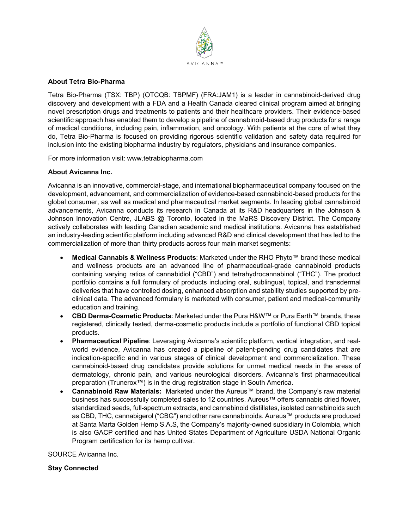

## **About Tetra Bio-Pharma**

Tetra Bio-Pharma (TSX: TBP) (OTCQB: TBPMF) (FRA:JAM1) is a leader in cannabinoid-derived drug discovery and development with a FDA and a Health Canada cleared clinical program aimed at bringing novel prescription drugs and treatments to patients and their healthcare providers. Their evidence-based scientific approach has enabled them to develop a pipeline of cannabinoid-based drug products for a range of medical conditions, including pain, inflammation, and oncology. With patients at the core of what they do, Tetra Bio-Pharma is focused on providing rigorous scientific validation and safety data required for inclusion into the existing biopharma industry by regulators, physicians and insurance companies.

For more information visit: www.tetrabiopharma.com

## **About Avicanna Inc.**

Avicanna is an innovative, commercial-stage, and international biopharmaceutical company focused on the development, advancement, and commercialization of evidence-based cannabinoid-based products for the global consumer, as well as medical and pharmaceutical market segments. In leading global cannabinoid advancements, Avicanna conducts its research in Canada at its R&D headquarters in the Johnson & Johnson Innovation Centre, JLABS @ Toronto, located in the MaRS Discovery District. The Company actively collaborates with leading Canadian academic and medical institutions. Avicanna has established an industry-leading scientific platform including advanced R&D and clinical development that has led to the commercialization of more than thirty products across four main market segments:

- **Medical Cannabis & Wellness Products**: Marketed under the RHO Phyto™ brand these medical and wellness products are an advanced line of pharmaceutical-grade cannabinoid products containing varying ratios of cannabidiol ("CBD") and tetrahydrocannabinol ("THC"). The product portfolio contains a full formulary of products including oral, sublingual, topical, and transdermal deliveries that have controlled dosing, enhanced absorption and stability studies supported by preclinical data. The advanced formulary is marketed with consumer, patient and medical-community education and training.
- **CBD Derma-Cosmetic Products**: Marketed under the Pura H&W™ or Pura Earth™ brands, these registered, clinically tested, derma-cosmetic products include a portfolio of functional CBD topical products.
- **Pharmaceutical Pipeline**: Leveraging Avicanna's scientific platform, vertical integration, and realworld evidence, Avicanna has created a pipeline of patent-pending drug candidates that are indication-specific and in various stages of clinical development and commercialization. These cannabinoid-based drug candidates provide solutions for unmet medical needs in the areas of dermatology, chronic pain, and various neurological disorders. Avicanna's first pharmaceutical preparation (Trunerox™) is in the drug registration stage in South America.
- **Cannabinoid Raw Materials:** Marketed under the Aureus™ brand, the Company's raw material business has successfully completed sales to 12 countries. Aureus™ offers cannabis dried flower, standardized seeds, full-spectrum extracts, and cannabinoid distillates, isolated cannabinoids such as CBD, THC, cannabigerol ("CBG") and other rare cannabinoids. Aureus™ products are produced at Santa Marta Golden Hemp S.A.S, the Company's majority-owned subsidiary in Colombia, which is also GACP certified and has United States Department of Agriculture USDA National Organic Program certification for its hemp cultivar.

SOURCE Avicanna Inc.

### **Stay Connected**